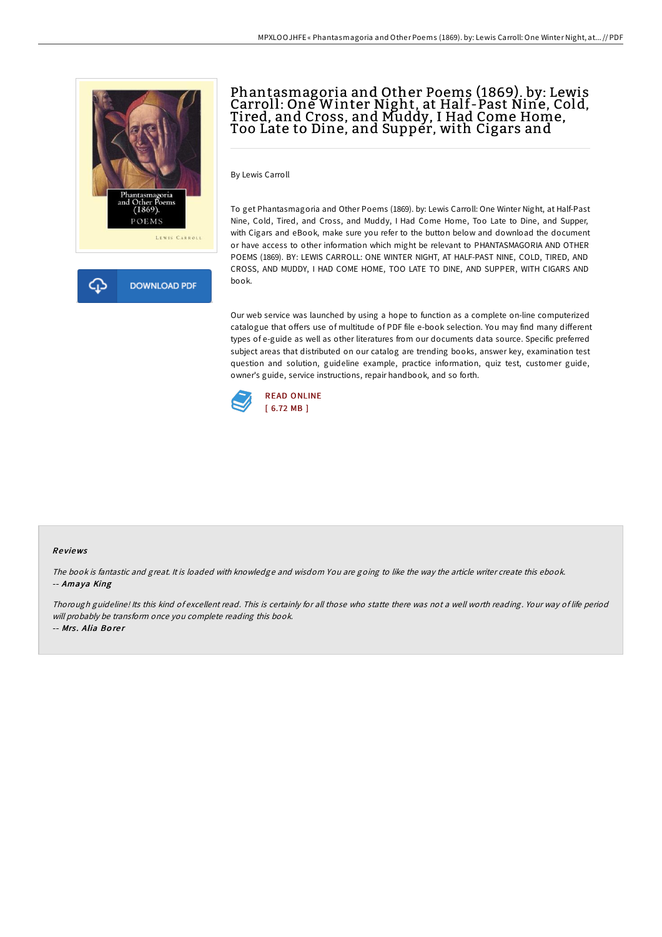



# Phantasmagoria and Other Poems (1869). by: Lewis Carroll: One Winter Night, at Half-Past Nine, Cold, Tired, and Cross, and Muddy, I Had Come Home, Too Late to Dine, and Supper, with Cigars and

By Lewis Carroll

To get Phantasmagoria and Other Poems (1869). by: Lewis Carroll: One Winter Night, at Half-Past Nine, Cold, Tired, and Cross, and Muddy, I Had Come Home, Too Late to Dine, and Supper, with Cigars and eBook, make sure you refer to the button below and download the document or have access to other information which might be relevant to PHANTASMAGORIA AND OTHER POEMS (1869). BY: LEWIS CARROLL: ONE WINTER NIGHT, AT HALF-PAST NINE, COLD, TIRED, AND CROSS, AND MUDDY, I HAD COME HOME, TOO LATE TO DINE, AND SUPPER, WITH CIGARS AND book.

Our web service was launched by using a hope to function as a complete on-line computerized catalogue that offers use of multitude of PDF file e-book selection. You may find many different types of e-guide as well as other literatures from our documents data source. Specific preferred subject areas that distributed on our catalog are trending books, answer key, examination test question and solution, guideline example, practice information, quiz test, customer guide, owner's guide, service instructions, repair handbook, and so forth.



#### Re views

The book is fantastic and great. It is loaded with knowledge and wisdom You are going to like the way the article writer create this ebook. -- Amaya King

Thorough guideline! Its this kind of excellent read. This is certainly for all those who statte there was not <sup>a</sup> well worth reading. Your way of life period will probably be transform once you complete reading this book. -- Mrs. Alia Borer